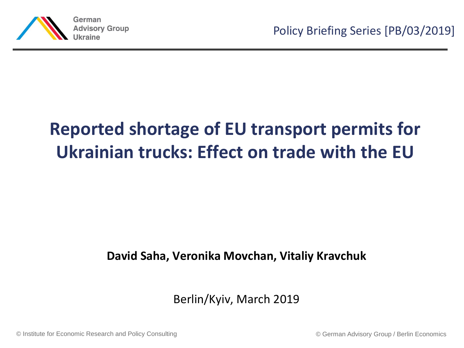

# **Reported shortage of EU transport permits for Ukrainian trucks: Effect on trade with the EU**

#### **David Saha, Veronika Movchan, Vitaliy Kravchuk**

Berlin/Kyiv, March 2019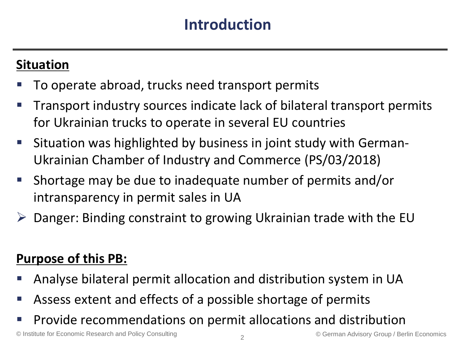### **Situation**

- To operate abroad, trucks need transport permits
- Transport industry sources indicate lack of bilateral transport permits for Ukrainian trucks to operate in several EU countries
- **Situation was highlighted by business in joint study with German-**Ukrainian Chamber of Industry and Commerce (PS/03/2018)
- Shortage may be due to inadequate number of permits and/or intransparency in permit sales in UA
- $\triangleright$  Danger: Binding constraint to growing Ukrainian trade with the EU

### **Purpose of this PB:**

- Analyse bilateral permit allocation and distribution system in UA
- Assess extent and effects of a possible shortage of permits
- Provide recommendations on permit allocations and distribution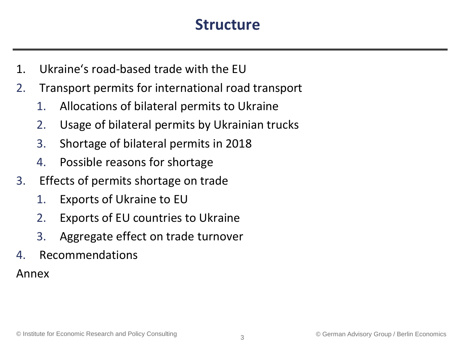### **Structure**

- 1. Ukraine's road-based trade with the EU
- 2. Transport permits for international road transport
	- 1. Allocations of bilateral permits to Ukraine
	- 2. Usage of bilateral permits by Ukrainian trucks
	- 3. Shortage of bilateral permits in 2018
	- 4. Possible reasons for shortage
- 3. Effects of permits shortage on trade
	- 1. Exports of Ukraine to EU
	- 2. Exports of EU countries to Ukraine
	- 3. Aggregate effect on trade turnover
- 4. Recommendations

Annex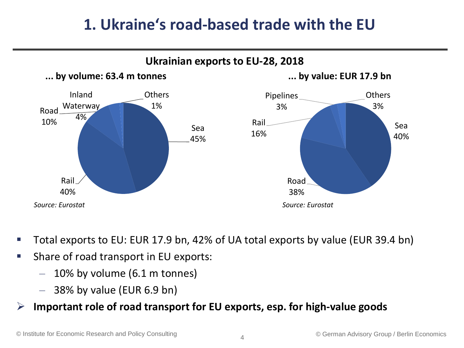## **1. Ukraine's road-based trade with the EU**



- Total exports to EU: EUR 17.9 bn, 42% of UA total exports by value (EUR 39.4 bn)
- **Share of road transport in EU exports:** 
	- $-$  10% by volume (6.1 m tonnes)
	- $-$  38% by value (EUR 6.9 bn)
- **Important role of road transport for EU exports, esp. for high-value goods**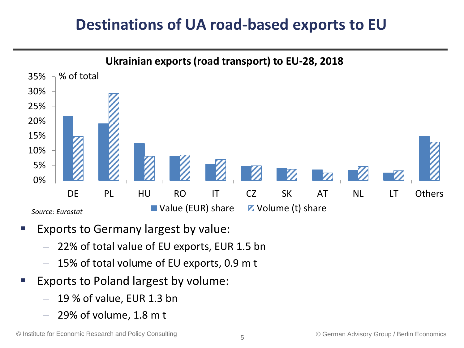## **Destinations of UA road-based exports to EU**



- Exports to Germany largest by value:
	- 22% of total value of EU exports, EUR 1.5 bn
	- 15% of total volume of EU exports, 0.9 m t
- Exports to Poland largest by volume:
	- 19 % of value, EUR 1.3 bn
	- $-$  29% of volume, 1.8 m t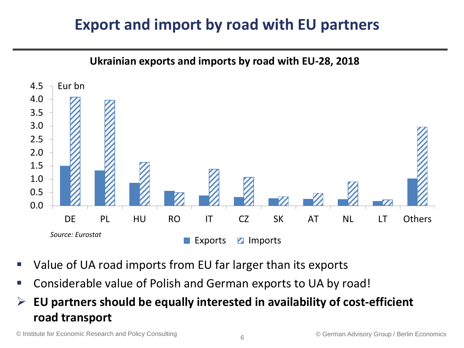# **Export and import by road with EU partners**



- Value of UA road imports from EU far larger than its exports
- Considerable value of Polish and German exports to UA by road!
- **EU partners should be equally interested in availability of cost-efficient road transport**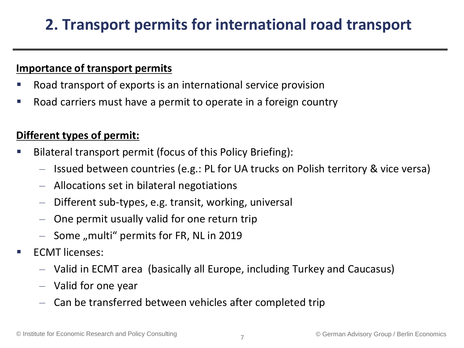# **2. Transport permits for international road transport**

#### **Importance of transport permits**

- Road transport of exports is an international service provision
- Road carriers must have a permit to operate in a foreign country

#### **Different types of permit:**

- Bilateral transport permit (focus of this Policy Briefing):
	- Issued between countries (e.g.: PL for UA trucks on Polish territory & vice versa)
	- Allocations set in bilateral negotiations
	- Different sub-types, e.g. transit, working, universal
	- One permit usually valid for one return trip
	- $-$  Some "multi" permits for FR, NL in 2019
- ECMT licenses:
	- Valid in ECMT area (basically all Europe, including Turkey and Caucasus)
	- Valid for one year
	- Can be transferred between vehicles after completed trip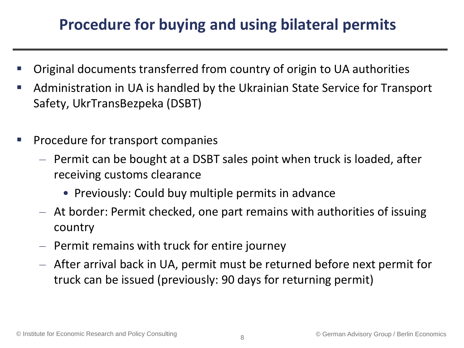# **Procedure for buying and using bilateral permits**

- Original documents transferred from country of origin to UA authorities
- Administration in UA is handled by the Ukrainian State Service for Transport Safety, UkrTransBezpeka (DSBT)
- **Procedure for transport companies** 
	- Permit can be bought at a DSBT sales point when truck is loaded, after receiving customs clearance
		- Previously: Could buy multiple permits in advance
	- At border: Permit checked, one part remains with authorities of issuing country
	- Permit remains with truck for entire journey
	- After arrival back in UA, permit must be returned before next permit for truck can be issued (previously: 90 days for returning permit)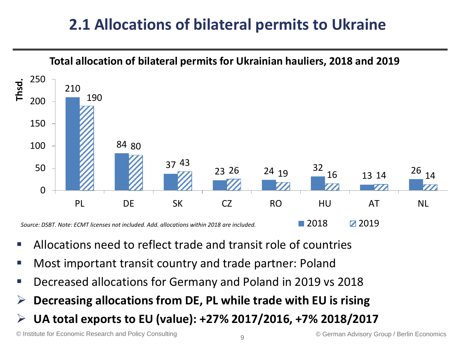# **2.1 Allocations of bilateral permits to Ukraine**



- Allocations need to reflect trade and transit role of countries
- Most important transit country and trade partner: Poland
- Decreased allocations for Germany and Poland in 2019 vs 2018
- **Decreasing allocations from DE, PL while trade with EU is rising**
- **UA total exports to EU (value): +27% 2017/2016, +7% 2018/2017**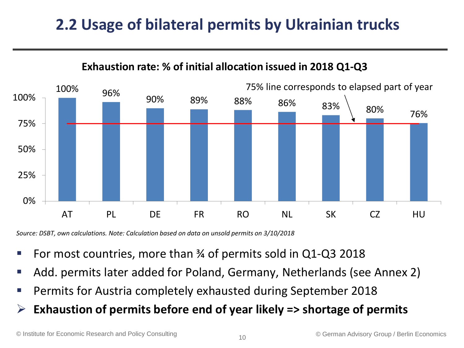# **2.2 Usage of bilateral permits by Ukrainian trucks**



#### **Exhaustion rate: % of initial allocation issued in 2018 Q1-Q3**

*Source: DSBT, own calculations. Note: Calculation based on data on unsold permits on 3/10/2018*

- For most countries, more than ¾ of permits sold in Q1-Q3 2018
- Add. permits later added for Poland, Germany, Netherlands (see Annex 2)
- **Permits for Austria completely exhausted during September 2018**
- **Exhaustion of permits before end of year likely => shortage of permits**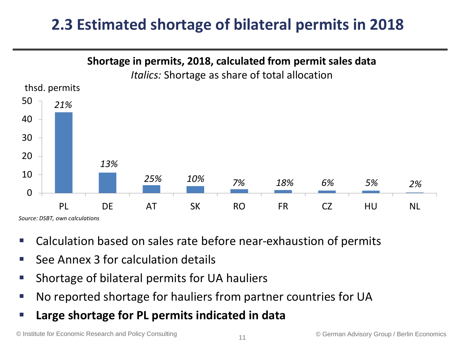# **2.3 Estimated shortage of bilateral permits in 2018**



- Calculation based on sales rate before near-exhaustion of permits
- See Annex 3 for calculation details
- Shortage of bilateral permits for UA hauliers
- No reported shortage for hauliers from partner countries for UA
- **Large shortage for PL permits indicated in data**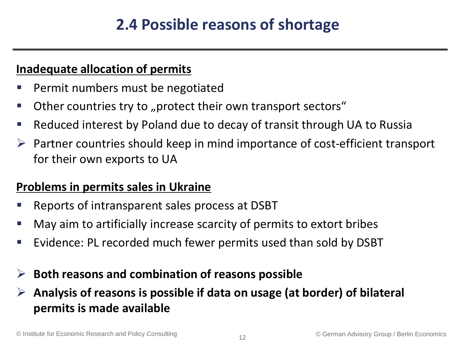# **2.4 Possible reasons of shortage**

#### **Inadequate allocation of permits**

- Permit numbers must be negotiated
- Other countries try to "protect their own transport sectors"
- Reduced interest by Poland due to decay of transit through UA to Russia
- $\triangleright$  Partner countries should keep in mind importance of cost-efficient transport for their own exports to UA

#### **Problems in permits sales in Ukraine**

- Reports of intransparent sales process at DSBT
- May aim to artificially increase scarcity of permits to extort bribes
- Evidence: PL recorded much fewer permits used than sold by DSBT

### **Both reasons and combination of reasons possible**

### **Analysis of reasons is possible if data on usage (at border) of bilateral permits is made available**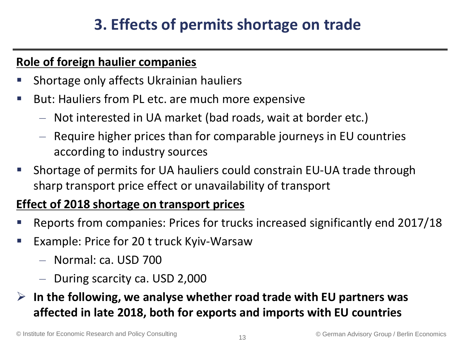# **3. Effects of permits shortage on trade**

#### **Role of foreign haulier companies**

- Shortage only affects Ukrainian hauliers
- **But: Hauliers from PL etc. are much more expensive** 
	- Not interested in UA market (bad roads, wait at border etc.)
	- Require higher prices than for comparable journeys in EU countries according to industry sources
- Shortage of permits for UA hauliers could constrain EU-UA trade through sharp transport price effect or unavailability of transport

#### **Effect of 2018 shortage on transport prices**

- Reports from companies: Prices for trucks increased significantly end 2017/18
- Example: Price for 20 t truck Kyiv-Warsaw
	- Normal: ca. USD 700
	- During scarcity ca. USD 2,000
- **In the following, we analyse whether road trade with EU partners was affected in late 2018, both for exports and imports with EU countries**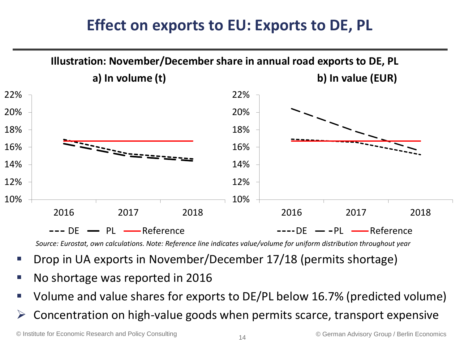## **Effect on exports to EU: Exports to DE, PL**



*Source: Eurostat, own calculations. Note: Reference line indicates value/volume for uniform distribution throughout year*

- Drop in UA exports in November/December 17/18 (permits shortage)
- No shortage was reported in 2016
- Volume and value shares for exports to DE/PL below 16.7% (predicted volume)
- $\triangleright$  Concentration on high-value goods when permits scarce, transport expensive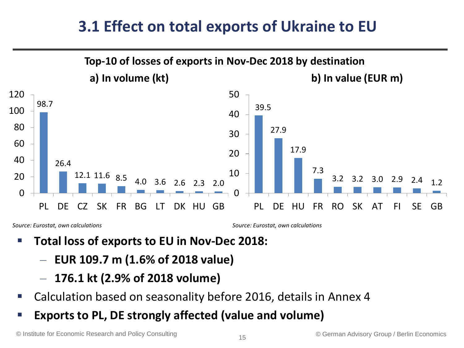## **3.1 Effect on total exports of Ukraine to EU**



*Source: Eurostat, own calculations*

*Source: Eurostat, own calculations*

- **Total loss of exports to EU in Nov-Dec 2018:** 
	- **EUR 109.7 m (1.6% of 2018 value)**
	- **176.1 kt (2.9% of 2018 volume)**
- Calculation based on seasonality before 2016, details in Annex 4
- **Exports to PL, DE strongly affected (value and volume)**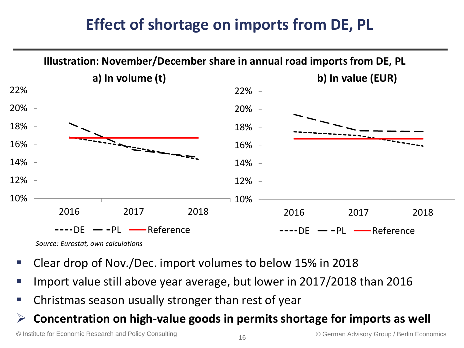# **Effect of shortage on imports from DE, PL**



*Source: Eurostat, own calculations*

- Clear drop of Nov./Dec. import volumes to below 15% in 2018
- Import value still above year average, but lower in 2017/2018 than 2016
- Christmas season usually stronger than rest of year

#### **Concentration on high-value goods in permits shortage for imports as well**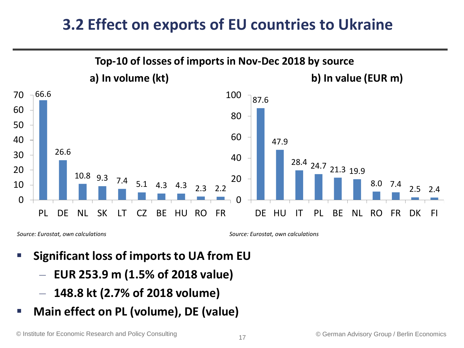## **3.2 Effect on exports of EU countries to Ukraine**



*Source: Eurostat, own calculations*

*Source: Eurostat, own calculations*

- **Significant loss of imports to UA from EU** 
	- **EUR 253.9 m (1.5% of 2018 value)**
	- **148.8 kt (2.7% of 2018 volume)**
- **Main effect on PL (volume), DE (value)**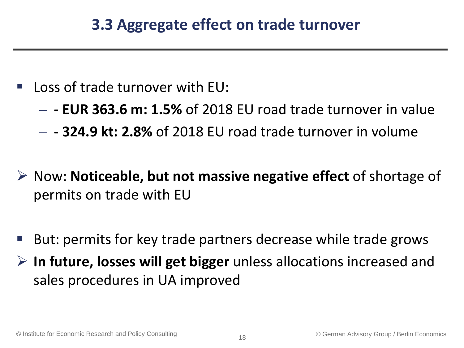- Loss of trade turnover with EU:
	- **- EUR 363.6 m: 1.5%** of 2018 EU road trade turnover in value
	- **- 324.9 kt: 2.8%** of 2018 EU road trade turnover in volume
- Now: **Noticeable, but not massive negative effect** of shortage of permits on trade with EU
- But: permits for key trade partners decrease while trade grows
- **In future, losses will get bigger** unless allocations increased and sales procedures in UA improved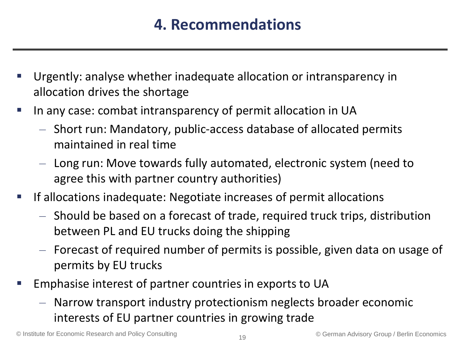# **4. Recommendations**

- Urgently: analyse whether inadequate allocation or intransparency in allocation drives the shortage
- In any case: combat intransparency of permit allocation in UA
	- Short run: Mandatory, public-access database of allocated permits maintained in real time
	- Long run: Move towards fully automated, electronic system (need to agree this with partner country authorities)
- **If allocations inadequate: Negotiate increases of permit allocations** 
	- Should be based on a forecast of trade, required truck trips, distribution between PL and EU trucks doing the shipping
	- Forecast of required number of permits is possible, given data on usage of permits by EU trucks
- Emphasise interest of partner countries in exports to UA
	- Narrow transport industry protectionism neglects broader economic interests of EU partner countries in growing trade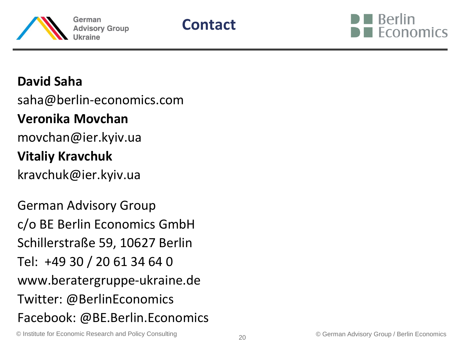



### **David Saha**

saha@berlin-economics.com

### **Veronika Movchan**

movchan@ier.kyiv.ua

### **Vitaliy Kravchuk**

kravchuk@ier.kyiv.ua

German Advisory Group c/o BE Berlin Economics GmbH Schillerstraße 59, 10627 Berlin Tel: +49 30 / 20 61 34 64 0 www.beratergruppe-ukraine.de Twitter: @BerlinEconomics Facebook: @BE.Berlin.Economics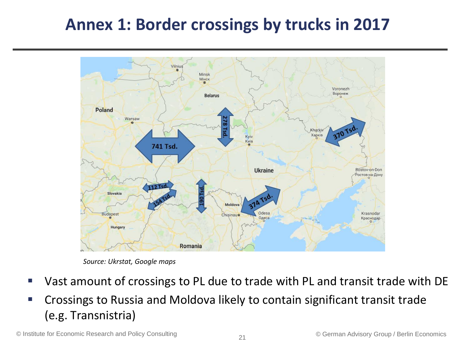# **Annex 1: Border crossings by trucks in 2017**



*Source: Ukrstat, Google maps*

- Vast amount of crossings to PL due to trade with PL and transit trade with DE
- Crossings to Russia and Moldova likely to contain significant transit trade (e.g. Transnistria)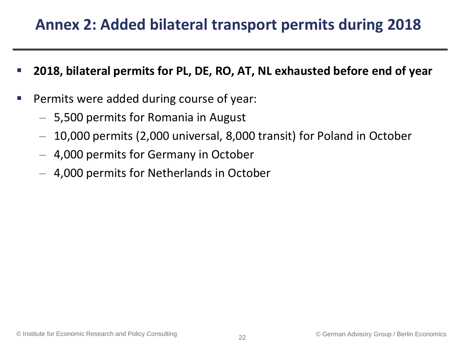## **Annex 2: Added bilateral transport permits during 2018**

- **2018, bilateral permits for PL, DE, RO, AT, NL exhausted before end of year**
- Permits were added during course of year:
	- 5,500 permits for Romania in August
	- 10,000 permits (2,000 universal, 8,000 transit) for Poland in October
	- 4,000 permits for Germany in October
	- 4,000 permits for Netherlands in October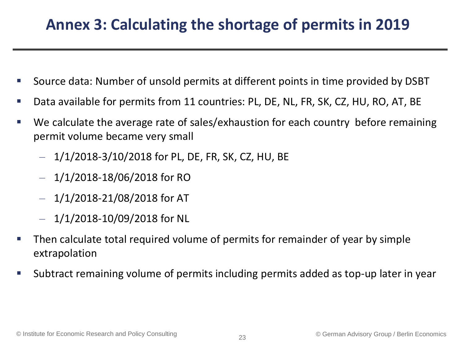## **Annex 3: Calculating the shortage of permits in 2019**

- Source data: Number of unsold permits at different points in time provided by DSBT
- Data available for permits from 11 countries: PL, DE, NL, FR, SK, CZ, HU, RO, AT, BE
- We calculate the average rate of sales/exhaustion for each country before remaining permit volume became very small
	- $-1/1/2018-3/10/2018$  for PL, DE, FR, SK, CZ, HU, BE
	- $-$  1/1/2018-18/06/2018 for RO
	- $-$  1/1/2018-21/08/2018 for AT
	- $-$  1/1/2018-10/09/2018 for NL
- Then calculate total required volume of permits for remainder of year by simple extrapolation
- Subtract remaining volume of permits including permits added as top-up later in year